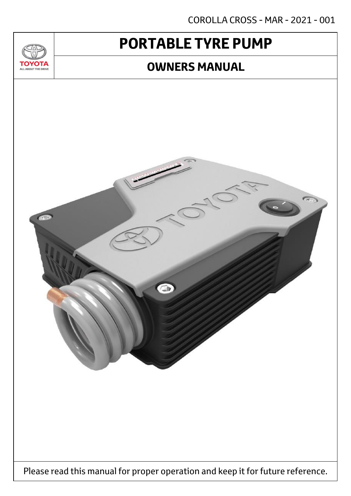COROLLA CROSS - MAR - 2021 - 001

# **PORTABLE TYRE PUMP**

 $T_{\Delta}$ 

**TOYOTA** ALL ABOUT THE DRIVE

### **OWNERS MANUAL**

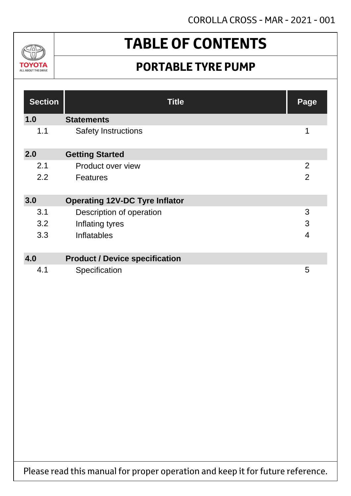

# **TABLE OF CONTENTS**

## **PORTABLE TYRE PUMP**

| <b>Section</b> | <b>Title</b>                          | Page           |
|----------------|---------------------------------------|----------------|
| 1.0            | <b>Statements</b>                     |                |
| 1.1            | <b>Safety Instructions</b>            | 1              |
| 2.0            | <b>Getting Started</b>                |                |
| 2.1            | Product over view                     | $\overline{2}$ |
| 2.2            | <b>Features</b>                       | $\overline{2}$ |
| 3.0            | <b>Operating 12V-DC Tyre Inflator</b> |                |
| 3.1            | Description of operation              | 3              |
| 3.2            | Inflating tyres                       | 3              |
| 3.3            | <b>Inflatables</b>                    | 4              |
| 4.0            | <b>Product / Device specification</b> |                |
| 4.1            | Specification                         | 5              |

Please read this manual for proper operation and keep it for future reference.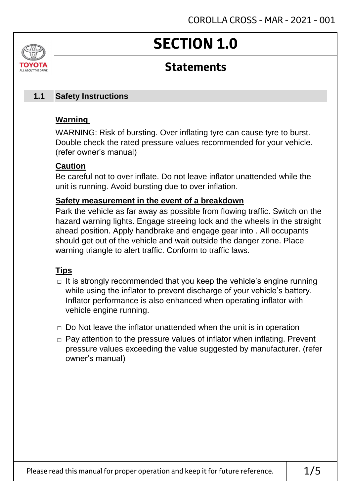# **SECTION 1.0**

### **Statements**

#### **Safety Instructions 1.1**

### **Warning**

ALL AROUT THE DRIV

WARNING: Risk of bursting. Over inflating tyre can cause tyre to burst. Double check the rated pressure values recommended for your vehicle. (refer owner's manual)

### **Caution**

Be careful not to over inflate. Do not leave inflator unattended while the unit is running. Avoid bursting due to over inflation.

### **Safety measurement in the event of a breakdown**

Park the vehicle as far away as possible from flowing traffic. Switch on the hazard warning lights. Engage streeing lock and the wheels in the straight ahead position. Apply handbrake and engage gear into . All occupants should get out of the vehicle and wait outside the danger zone. Place warning triangle to alert traffic. Conform to traffic laws.

### **Tips**

- $\Box$  It is strongly recommended that you keep the vehicle's engine running while using the inflator to prevent discharge of your vehicle's battery. Inflator performance is also enhanced when operating inflator with vehicle engine running.
- $\Box$  Do Not leave the inflator unattended when the unit is in operation
- □ Pay attention to the pressure values of inflator when inflating. Prevent pressure values exceeding the value suggested by manufacturer. (refer owner's manual)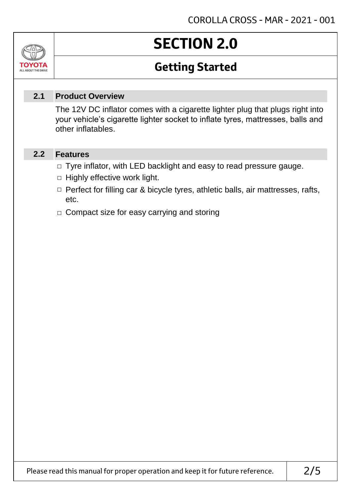# **SECTION 2.0**

## **Getting Started**

#### **Product Overview 2.1**

The 12V DC inflator comes with a cigarette lighter plug that plugs right into your vehicle's cigarette lighter socket to inflate tyres, mattresses, balls and other inflatables.

#### **Features 2.2**

Jn

томогл ALL ABOUT THE DRIVE

- □ Tyre inflator, with LED backlight and easy to read pressure gauge.
- $\Box$  Highly effective work light.
- □ Perfect for filling car & bicycle tyres, athletic balls, air mattresses, rafts, etc.
- □ Compact size for easy carrying and storing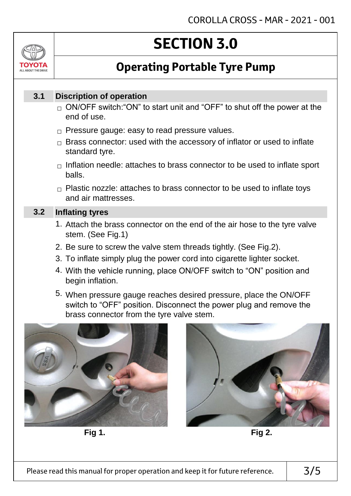# **SECTION 3.0**

## **Operating Portable Tyre Pump**

#### **Discription of operation 3.1**

ALL AROUT THE DRIV

- $_\square$  ON/OFF switch:"ON" to start unit and "OFF" to shut off the power at the end of use.
- $\Box$  Pressure gauge: easy to read pressure values.
- $\Box$  Brass connector: used with the accessory of inflator or used to inflate standard tyre.
- $\Box$  Inflation needle: attaches to brass connector to be used to inflate sport balls.
- $\Box$  Plastic nozzle: attaches to brass connector to be used to inflate toys and air mattresses.

#### **Inflating tyres 3.2**

- 1. Attach the brass connector on the end of the air hose to the tyre valve stem. (See Fig.1)
- 2. Be sure to screw the valve stem threads tightly. (See Fig.2).
- 3. To inflate simply plug the power cord into cigarette lighter socket.
- 4. With the vehicle running, place ON/OFF switch to "ON" position and begin inflation.
- 5. When pressure gauge reaches desired pressure, place the ON/OFF switch to "OFF" position. Disconnect the power plug and remove the brass connector from the tyre valve stem.



**Fig 1. Fig 2.**

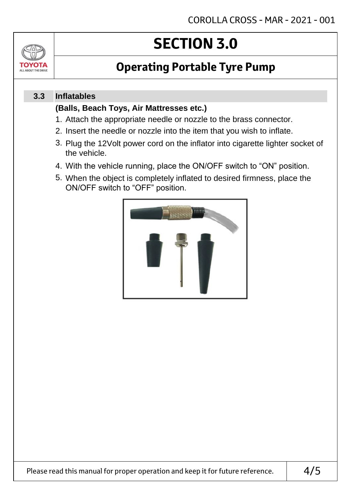# **SECTION 3.0**

## **Operating Portable Tyre Pump**

#### **Inflatables 3.3**

ΤΟΥΩΤΔ ALL ABOUT THE DRIVE

### **(Balls, Beach Toys, Air Mattresses etc.)**

- 1. Attach the appropriate needle or nozzle to the brass connector.
- 2. Insert the needle or nozzle into the item that you wish to inflate.
- 3. Plug the 12Volt power cord on the inflator into cigarette lighter socket of the vehicle.
- 4. With the vehicle running, place the ON/OFF switch to "ON" position.
- 5. When the object is completely inflated to desired firmness, place the ON/OFF switch to "OFF" position.